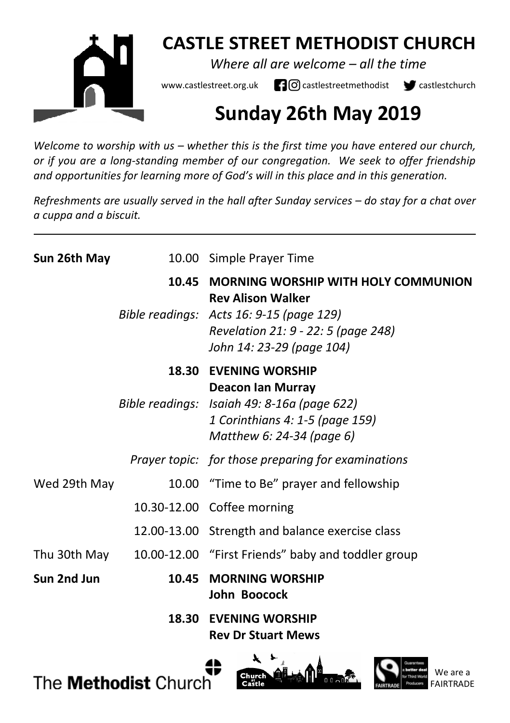

## **CASTLE STREET METHODIST CHURCH**

*Where all are welcome – all the time* 

www.castlestreet.org.uk  $\Box$   $\Box$  castlestreetmethodist  $\Box$  castlestchurch

# **Sunday 26th May 2019**

*Welcome to worship with us – whether this is the first time you have entered our church, or if you are a long-standing member of our congregation. We seek to offer friendship and opportunities for learning more of God's will in this place and in this generation.* 

*Refreshments are usually served in the hall after Sunday services – do stay for a chat over a cuppa and a biscuit.*

| Sun 26th May |       | 10.00 Simple Prayer Time                                                                                                                                                               |
|--------------|-------|----------------------------------------------------------------------------------------------------------------------------------------------------------------------------------------|
|              | 10.45 | <b>MORNING WORSHIP WITH HOLY COMMUNION</b><br><b>Rev Alison Walker</b><br>Bible readings: Acts 16: 9-15 (page 129)<br>Revelation 21: 9 - 22: 5 (page 248)<br>John 14: 23-29 (page 104) |
|              | 18.30 | <b>EVENING WORSHIP</b><br><b>Deacon Ian Murray</b><br>Bible readings: Isaiah 49: 8-16a (page 622)<br>1 Corinthians 4: 1-5 (page 159)<br>Matthew 6: 24-34 (page 6)                      |
|              |       | Prayer topic: for those preparing for examinations                                                                                                                                     |
| Wed 29th May |       | 10.00 "Time to Be" prayer and fellowship                                                                                                                                               |
|              |       | 10.30-12.00 Coffee morning                                                                                                                                                             |
|              |       | 12.00-13.00 Strength and balance exercise class                                                                                                                                        |
|              |       | Thu 30th May 10.00-12.00 "First Friends" baby and toddler group                                                                                                                        |
| Sun 2nd Jun  | 10.45 | <b>MORNING WORSHIP</b><br>John Boocock                                                                                                                                                 |
|              | 18.30 | <b>EVENING WORSHIP</b><br><b>Rev Dr Stuart Mews</b>                                                                                                                                    |

The **Methodist** Church



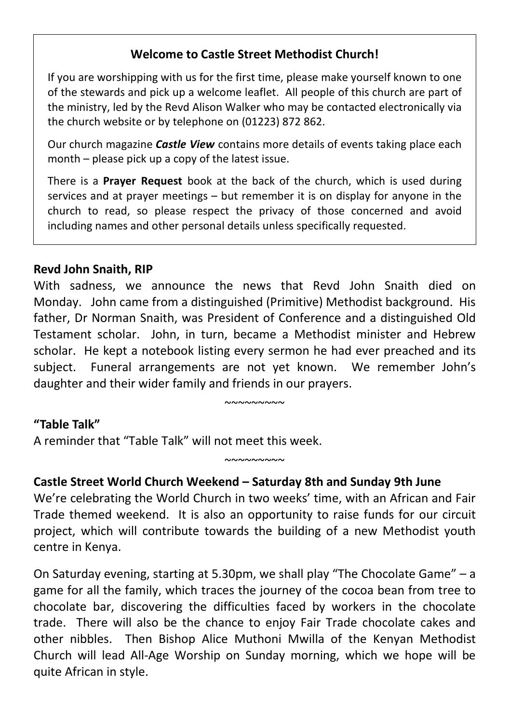## **Welcome to Castle Street Methodist Church!**

If you are worshipping with us for the first time, please make yourself known to one of the stewards and pick up a welcome leaflet. All people of this church are part of the ministry, led by the Revd Alison Walker who may be contacted electronically via the church website or by telephone on (01223) 872 862.

Our church magazine *Castle View* contains more details of events taking place each month – please pick up a copy of the latest issue.

There is a **Prayer Request** book at the back of the church, which is used during services and at prayer meetings – but remember it is on display for anyone in the church to read, so please respect the privacy of those concerned and avoid including names and other personal details unless specifically requested.

#### **Revd John Snaith, RIP**

With sadness, we announce the news that Revd John Snaith died on Monday. John came from a distinguished (Primitive) Methodist background. His father, Dr Norman Snaith, was President of Conference and a distinguished Old Testament scholar. John, in turn, became a Methodist minister and Hebrew scholar. He kept a notebook listing every sermon he had ever preached and its subject. Funeral arrangements are not yet known. We remember John's daughter and their wider family and friends in our prayers.

 $~\sim$ ~~~~~~~

 $~\sim$  $\sim$  $\sim$  $\sim$  $\sim$  $\sim$ 

#### **"Table Talk"**

A reminder that "Table Talk" will not meet this week.

#### **Castle Street World Church Weekend – Saturday 8th and Sunday 9th June**

We're celebrating the World Church in two weeks' time, with an African and Fair Trade themed weekend. It is also an opportunity to raise funds for our circuit project, which will contribute towards the building of a new Methodist youth centre in Kenya.

On Saturday evening, starting at 5.30pm, we shall play "The Chocolate Game" – a game for all the family, which traces the journey of the cocoa bean from tree to chocolate bar, discovering the difficulties faced by workers in the chocolate trade. There will also be the chance to enjoy Fair Trade chocolate cakes and other nibbles. Then Bishop Alice Muthoni Mwilla of the Kenyan Methodist Church will lead All-Age Worship on Sunday morning, which we hope will be quite African in style.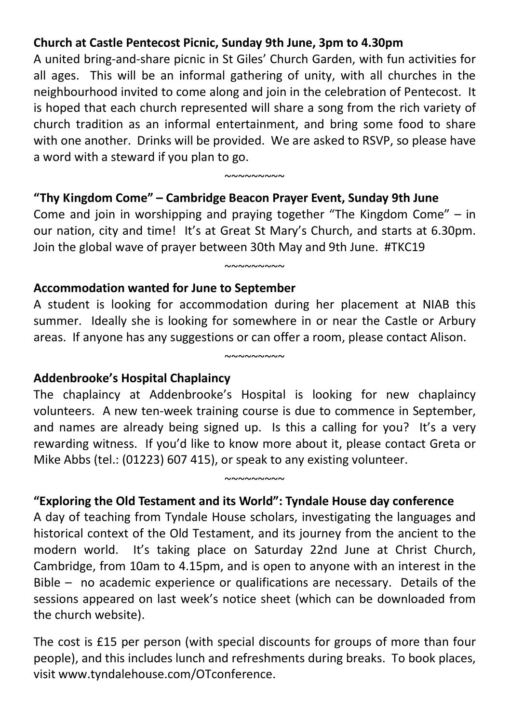## **Church at Castle Pentecost Picnic, Sunday 9th June, 3pm to 4.30pm**

A united bring-and-share picnic in St Giles' Church Garden, with fun activities for all ages. This will be an informal gathering of unity, with all churches in the neighbourhood invited to come along and join in the celebration of Pentecost. It is hoped that each church represented will share a song from the rich variety of church tradition as an informal entertainment, and bring some food to share with one another. Drinks will be provided. We are asked to RSVP, so please have a word with a steward if you plan to go.

 $~\sim$  $\sim$  $\sim$  $\sim$  $\sim$  $\sim$ 

#### **"Thy Kingdom Come" – Cambridge Beacon Prayer Event, Sunday 9th June**

Come and join in worshipping and praying together "The Kingdom Come" – in our nation, city and time! It's at Great St Mary's Church, and starts at 6.30pm. Join the global wave of prayer between 30th May and 9th June. #TKC19

 $~\sim\sim\sim\sim\sim\sim\sim\sim$ 

#### **Accommodation wanted for June to September**

A student is looking for accommodation during her placement at NIAB this summer. Ideally she is looking for somewhere in or near the Castle or Arbury areas. If anyone has any suggestions or can offer a room, please contact Alison.

 $~\sim$ ~~~~~~~

#### **Addenbrooke's Hospital Chaplaincy**

The chaplaincy at Addenbrooke's Hospital is looking for new chaplaincy volunteers. A new ten-week training course is due to commence in September, and names are already being signed up. Is this a calling for you? It's a very rewarding witness. If you'd like to know more about it, please contact Greta or Mike Abbs (tel.: (01223) 607 415), or speak to any existing volunteer.

 $~\sim\sim\sim\sim\sim\sim\sim\sim\sim$ 

#### **"Exploring the Old Testament and its World": Tyndale House day conference**

A day of teaching from Tyndale House scholars, investigating the languages and historical context of the Old Testament, and its journey from the ancient to the modern world. It's taking place on Saturday 22nd June at Christ Church, Cambridge, from 10am to 4.15pm, and is open to anyone with an interest in the Bible – no academic experience or qualifications are necessary. Details of the sessions appeared on last week's notice sheet (which can be downloaded from the church website).

The cost is £15 per person (with special discounts for groups of more than four people), and this includes lunch and refreshments during breaks. To book places, visit www.tyndalehouse.com/OTconference.